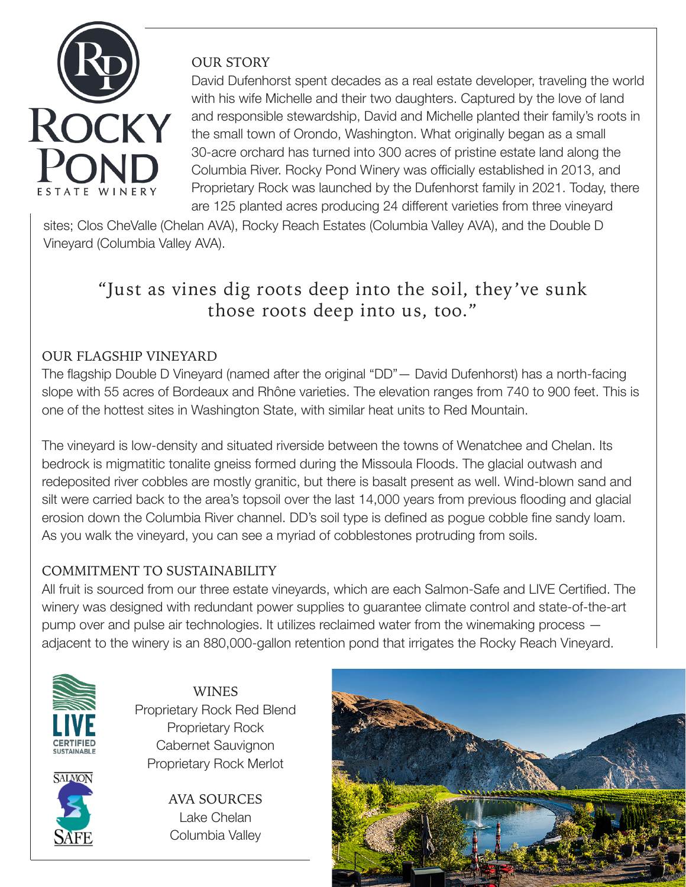

## OUR STORY

David Dufenhorst spent decades as a real estate developer, traveling the world with his wife Michelle and their two daughters. Captured by the love of land and responsible stewardship, David and Michelle planted their family's roots in the small town of Orondo, Washington. What originally began as a small 30-acre orchard has turned into 300 acres of pristine estate land along the Columbia River. Rocky Pond Winery was officially established in 2013, and Proprietary Rock was launched by the Dufenhorst family in 2021. Today, there are 125 planted acres producing 24 different varieties from three vineyard

sites; Clos CheValle (Chelan AVA), Rocky Reach Estates (Columbia Valley AVA), and the Double D Vineyard (Columbia Valley AVA).

# "Just as vines dig roots deep into the soil, they've sunk those roots deep into us, too."

# OUR FLAGSHIP VINEYARD

The flagship Double D Vineyard (named after the original "DD"— David Dufenhorst) has a north-facing slope with 55 acres of Bordeaux and Rhône varieties. The elevation ranges from 740 to 900 feet. This is one of the hottest sites in Washington State, with similar heat units to Red Mountain.

The vineyard is low-density and situated riverside between the towns of Wenatchee and Chelan. Its bedrock is migmatitic tonalite gneiss formed during the Missoula Floods. The glacial outwash and redeposited river cobbles are mostly granitic, but there is basalt present as well. Wind-blown sand and silt were carried back to the area's topsoil over the last 14,000 years from previous flooding and glacial erosion down the Columbia River channel. DD's soil type is defined as pogue cobble fine sandy loam. As you walk the vineyard, you can see a myriad of cobblestones protruding from soils.

# COMMITMENT TO SUSTAINABILITY

All fruit is sourced from our three estate vineyards, which are each Salmon-Safe and LIVE Certified. The winery was designed with redundant power supplies to guarantee climate control and state-of-the-art pump over and pulse air technologies. It utilizes reclaimed water from the winemaking process adjacent to the winery is an 880,000-gallon retention pond that irrigates the Rocky Reach Vineyard.



**SALMON** 



AVA SOURCES Lake Chelan Columbia Valley